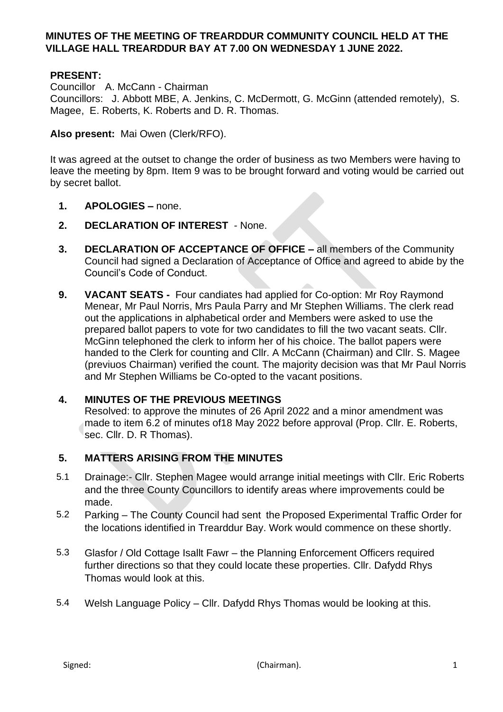## **MINUTES OF THE MEETING OF TREARDDUR COMMUNITY COUNCIL HELD AT THE VILLAGE HALL TREARDDUR BAY AT 7.00 ON WEDNESDAY 1 JUNE 2022.**

# **PRESENT:**

Councillor A. McCann - Chairman

Councillors: J. Abbott MBE, A. Jenkins, C. McDermott, G. McGinn (attended remotely), S. Magee, E. Roberts, K. Roberts and D. R. Thomas.

**Also present:** Mai Owen (Clerk/RFO).

It was agreed at the outset to change the order of business as two Members were having to leave the meeting by 8pm. Item 9 was to be brought forward and voting would be carried out by secret ballot.

- **1. APOLOGIES –** none.
- **2. DECLARATION OF INTEREST**  None.
- **3. DECLARATION OF ACCEPTANCE OF OFFICE –** all members of the Community Council had signed a Declaration of Acceptance of Office and agreed to abide by the Council's Code of Conduct.
- **9. VACANT SEATS** Four candiates had applied for Co-option: Mr Roy Raymond Menear, Mr Paul Norris, Mrs Paula Parry and Mr Stephen Williams. The clerk read out the applications in alphabetical order and Members were asked to use the prepared ballot papers to vote for two candidates to fill the two vacant seats. Cllr. McGinn telephoned the clerk to inform her of his choice. The ballot papers were handed to the Clerk for counting and Cllr. A McCann (Chairman) and Cllr. S. Magee (previuos Chairman) verified the count. The majority decision was that Mr Paul Norris and Mr Stephen Williams be Co-opted to the vacant positions.

#### **4. MINUTES OF THE PREVIOUS MEETINGS**

Resolved: to approve the minutes of 26 April 2022 and a minor amendment was made to item 6.2 of minutes of18 May 2022 before approval (Prop. Cllr. E. Roberts, sec. Cllr. D. R Thomas).

# **5. MATTERS ARISING FROM THE MINUTES**

- 5.1 Drainage:- Cllr. Stephen Magee would arrange initial meetings with Cllr. Eric Roberts and the three County Councillors to identify areas where improvements could be made.
- 5.2 Parking The County Council had sent the Proposed Experimental Traffic Order for the locations identified in Trearddur Bay. Work would commence on these shortly.
- 5.3 Glasfor / Old Cottage Isallt Fawr the Planning Enforcement Officers required further directions so that they could locate these properties. Cllr. Dafydd Rhys Thomas would look at this.
- 5.4 Welsh Language Policy Cllr. Dafydd Rhys Thomas would be looking at this.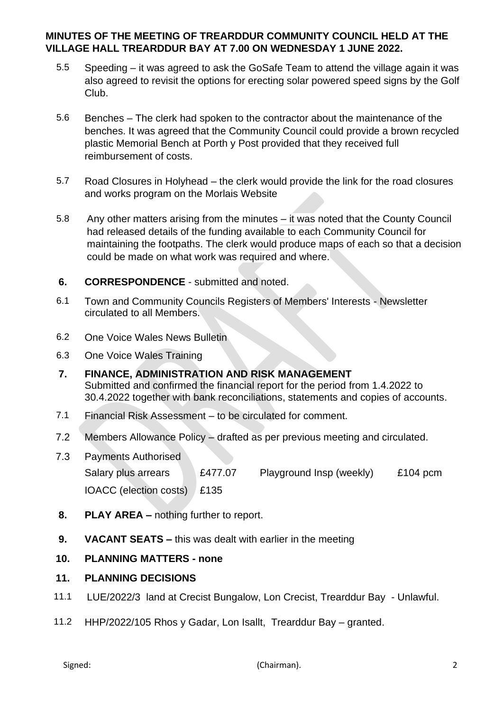# **MINUTES OF THE MEETING OF TREARDDUR COMMUNITY COUNCIL HELD AT THE VILLAGE HALL TREARDDUR BAY AT 7.00 ON WEDNESDAY 1 JUNE 2022.**

- 5.5 Speeding it was agreed to ask the GoSafe Team to attend the village again it was also agreed to revisit the options for erecting solar powered speed signs by the Golf Club.
- 5.6 Benches The clerk had spoken to the contractor about the maintenance of the benches. It was agreed that the Community Council could provide a brown recycled plastic Memorial Bench at Porth y Post provided that they received full reimbursement of costs.
- 5.7 Road Closures in Holyhead the clerk would provide the link for the road closures and works program on the Morlais Website
- 5.8 Any other matters arising from the minutes it was noted that the County Council had released details of the funding available to each Community Council for maintaining the footpaths. The clerk would produce maps of each so that a decision could be made on what work was required and where.
- **6. CORRESPONDENCE** submitted and noted.
- 6.1 Town and Community Councils Registers of Members' Interests Newsletter circulated to all Members.
- 6.2 One Voice Wales News Bulletin
- 6.3 One Voice Wales Training
- **7. FINANCE, ADMINISTRATION AND RISK MANAGEMENT** Submitted and confirmed the financial report for the period from 1.4.2022 to 30.4.2022 together with bank reconciliations, statements and copies of accounts.
- 7.1 Financial Risk Assessment to be circulated for comment.
- 7.2 Members Allowance Policy drafted as per previous meeting and circulated.
- 7.3 Payments Authorised

```
Salary plus arrears E477.07 Playground Insp (weekly) £104 pcm
IOACC (election costs) £135
```
- **8. PLAY AREA –** nothing further to report.
- **9. VACANT SEATS –** this was dealt with earlier in the meeting

#### **10. PLANNING MATTERS - none**

#### **11. PLANNING DECISIONS**

- 11.1 LUE/2022/3 land at Crecist Bungalow, Lon Crecist, Trearddur Bay Unlawful.
- 11.2 HHP/2022/105 Rhos y Gadar, Lon Isallt, Trearddur Bay granted.